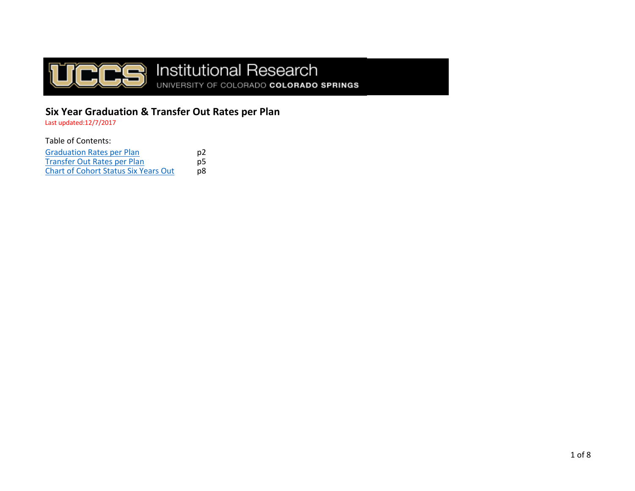

# **DE Institutional Research**<br>
UNIVERSITY OF COLORADO COLORADO SPRINGS

## **Six Year Graduation & Transfer Out Rates per Plan**

Last updated:12/7/2017

Table of Contents:

| <b>Graduation Rates per Plan</b>            | p2 |
|---------------------------------------------|----|
| Transfer Out Rates per Plan                 | p5 |
| <b>Chart of Cohort Status Six Years Out</b> | p8 |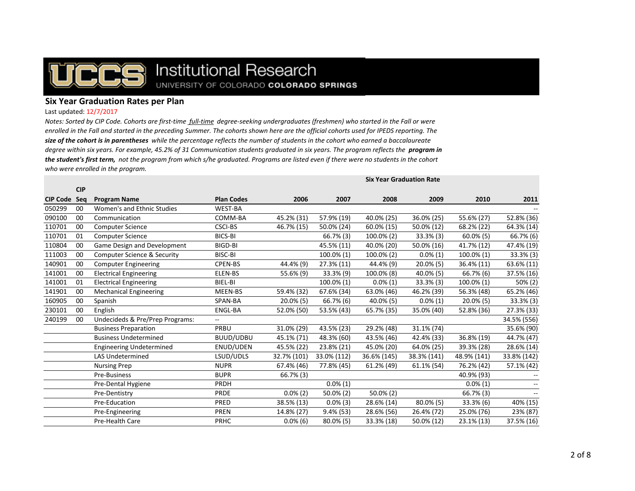

## Institutional Research UNIVERSITY OF COLORADO COLORADO SPRINGS

## **Six Year Graduation Rates per Plan**

#### Last updated: 12/7/2017

*Notes: Sorted by CIP Code. Cohorts are first-time full-time degree-seeking undergraduates (freshmen) who started in the Fall or were enrolled in the Fall and started in the preceding Summer. The cohorts shown here are the official cohorts used for IPEDS reporting. The size of the cohort is in parentheses while the percentage reflects the number of students in the cohort who earned a baccalaureate*  degree within six years. For example, 45.2% of 31 Communication students graduated in six years. The program reflects the **program in** *the student's first term, not the program from which s/he graduated. Programs are listed even if there were no students in the cohort who were enrolled in the program.*

|                 |            | Six rear Graduation Rate               |                   |              |             |             |              |              |             |
|-----------------|------------|----------------------------------------|-------------------|--------------|-------------|-------------|--------------|--------------|-------------|
|                 | <b>CIP</b> |                                        |                   |              |             |             |              |              |             |
| <b>CIP Code</b> | Sea        | <b>Program Name</b>                    | <b>Plan Codes</b> | 2006         | 2007        | 2008        | 2009         | 2010         | 2011        |
| 050299          | 00         | Women's and Ethnic Studies             | <b>WEST-BA</b>    |              |             |             |              |              |             |
| 090100          | 00         | Communication                          | COMM-BA           | 45.2% (31)   | 57.9% (19)  | 40.0% (25)  | 36.0% (25)   | 55.6% (27)   | 52.8% (36)  |
| 110701          | 00         | <b>Computer Science</b>                | <b>CSCI-BS</b>    | 46.7% (15)   | 50.0% (24)  | 60.0% (15)  | 50.0% (12)   | 68.2% (22)   | 64.3% (14)  |
| 110701          | 01         | <b>Computer Science</b>                | <b>BICS-BI</b>    |              | 66.7% (3)   | 100.0% (2)  | $33.3\%$ (3) | $60.0\%$ (5) | 66.7% (6)   |
| 110804          | 00         | Game Design and Development            | BIGD-BI           |              | 45.5% (11)  | 40.0% (20)  | 50.0% (16)   | 41.7% (12)   | 47.4% (19)  |
| 111003          | 00         | <b>Computer Science &amp; Security</b> | BISC-BI           |              | 100.0% (1)  | 100.0% (2)  | $0.0\%$ (1)  | 100.0% (1)   | 33.3% (3)   |
| 140901          | 00         | <b>Computer Engineering</b>            | <b>CPEN-BS</b>    | 44.4% (9)    | 27.3% (11)  | 44.4% (9)   | $20.0\%$ (5) | 36.4% (11)   | 63.6% (11)  |
| 141001          | 00         | <b>Electrical Engineering</b>          | ELEN-BS           | 55.6% (9)    | 33.3% (9)   | 100.0% (8)  | 40.0% (5)    | 66.7% (6)    | 37.5% (16)  |
| 141001          | 01         | <b>Electrical Engineering</b>          | BIEL-BI           |              | 100.0% (1)  | $0.0\%$ (1) | 33.3% (3)    | 100.0% (1)   | 50% (2)     |
| 141901          | 00         | <b>Mechanical Engineering</b>          | MEEN-BS           | 59.4% (32)   | 67.6% (34)  | 63.0% (46)  | 46.2% (39)   | 56.3% (48)   | 65.2% (46)  |
| 160905          | 00         | Spanish                                | SPAN-BA           | $20.0\%$ (5) | 66.7% (6)   | 40.0% (5)   | $0.0\%(1)$   | $20.0\%$ (5) | 33.3% (3)   |
| 230101          | 00         | English                                | <b>ENGL-BA</b>    | 52.0% (50)   | 53.5% (43)  | 65.7% (35)  | 35.0% (40)   | 52.8% (36)   | 27.3% (33)  |
| 240199          | 00         | Undecideds & Pre/Prep Programs:        | --                |              |             |             |              |              | 34.5% (556) |
|                 |            | <b>Business Preparation</b>            | PRBU              | 31.0% (29)   | 43.5% (23)  | 29.2% (48)  | 31.1% (74)   |              | 35.6% (90)  |
|                 |            | <b>Business Undetermined</b>           | BUUD/UDBU         | 45.1% (71)   | 48.3% (60)  | 43.5% (46)  | 42.4% (33)   | 36.8% (19)   | 44.7% (47)  |
|                 |            | <b>Engineering Undetermined</b>        | ENUD/UDEN         | 45.5% (22)   | 23.8% (21)  | 45.0% (20)  | 64.0% (25)   | 39.3% (28)   | 28.6% (14)  |
|                 |            | <b>LAS Undetermined</b>                | LSUD/UDLS         | 32.7% (101)  | 33.0% (112) | 36.6% (145) | 38.3% (141)  | 48.9% (141)  | 33.8% (142) |
|                 |            | <b>Nursing Prep</b>                    | <b>NUPR</b>       | 67.4% (46)   | 77.8% (45)  | 61.2% (49)  | 61.1% (54)   | 76.2% (42)   | 57.1% (42)  |
|                 |            | Pre-Business                           | <b>BUPR</b>       | 66.7% (3)    |             |             |              | 40.9% (93)   |             |
|                 |            | Pre-Dental Hygiene                     | <b>PRDH</b>       |              | $0.0\%$ (1) |             |              | $0.0\%$ (1)  |             |
|                 |            | Pre-Dentistry                          | <b>PRDE</b>       | $0.0\%$ (2)  | 50.0% (2)   | 50.0% (2)   |              | 66.7% (3)    |             |
|                 |            | Pre-Education                          | PRED              | 38.5% (13)   | $0.0\%$ (3) | 28.6% (14)  | $80.0\%$ (5) | 33.3% (6)    | 40% (15)    |
|                 |            | Pre-Engineering                        | <b>PREN</b>       | 14.8% (27)   | 9.4% (53)   | 28.6% (56)  | 26.4% (72)   | 25.0% (76)   | 23% (87)    |
|                 |            | Pre-Health Care                        | PRHC              | $0.0\%$ (6)  | 80.0% (5)   | 33.3% (18)  | 50.0% (12)   | 23.1% (13)   | 37.5% (16)  |

**Six Year Graduation Rate**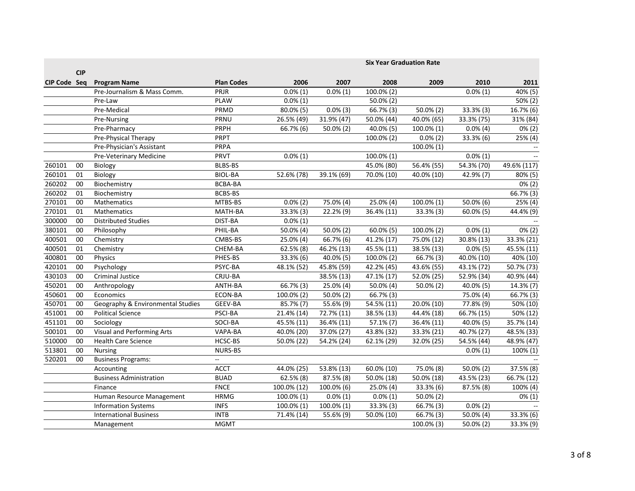|              | <b>CIP</b> |                                   |                   | <b>Six Year Graduation Rate</b> |                           |                         |             |             |                      |
|--------------|------------|-----------------------------------|-------------------|---------------------------------|---------------------------|-------------------------|-------------|-------------|----------------------|
| CIP Code Seq |            | <b>Program Name</b>               | <b>Plan Codes</b> | 2006                            | 2007                      | 2008                    | 2009        | 2010        | 2011                 |
|              |            | Pre-Journalism & Mass Comm.       | PRJR              | $0.0\%(1)$                      | $0.0\%$ (1)               | 100.0% (2)              |             | $0.0\%$ (1) | 40% (5)              |
|              |            | Pre-Law                           | <b>PLAW</b>       | $0.0\%$ (1)                     |                           | $50.0\%$ (2)            |             |             | 50% (2)              |
|              |            | Pre-Medical                       | PRMD              | 80.0% (5)                       | $0.0\%$ (3)               | 66.7% (3)               | 50.0% (2)   | 33.3% (3)   | 16.7% (6)            |
|              |            | Pre-Nursing                       | PRNU              | 26.5% (49)                      | 31.9% (47)                | 50.0% (44)              | 40.0% (65)  | 33.3% (75)  | 31% (84)             |
|              |            | Pre-Pharmacy                      | PRPH              | 66.7% (6)                       | $50.0\%$ (2)              | 40.0% (5)               | 100.0% (1)  | $0.0\%$ (4) | $0\% (2)$            |
|              |            | Pre-Physical Therapy              | <b>PRPT</b>       |                                 |                           | 100.0% (2)              | $0.0\%$ (2) | 33.3% (6)   | 25% (4)              |
|              |            | Pre-Physician's Assistant         | PRPA              |                                 |                           |                         | 100.0% (1)  |             |                      |
|              |            | Pre-Veterinary Medicine           | PRVT              | $0.0\%$ (1)                     |                           | 100.0% (1)              |             | $0.0\%$ (1) |                      |
| 260101       | 00         | Biology                           | <b>BLBS-BS</b>    |                                 |                           | 45.0% (80)              | 56.4% (55)  | 54.3% (70)  | 49.6% (117)          |
| 260101       | 01         | Biology                           | <b>BIOL-BA</b>    | 52.6% (78)                      | 39.1% (69)                | 70.0% (10)              | 40.0% (10)  | 42.9% (7)   | 80% (5)              |
| 260202       | 00         | Biochemistry                      | <b>BCBA-BA</b>    |                                 |                           |                         |             |             | $0\% (2)$            |
| 260202       | 01         | Biochemistry                      | BCBS-BS           |                                 |                           |                         |             |             | 66.7% (3)            |
| 270101       | 00         | Mathematics                       | MTBS-BS           | $0.0\%$ (2)                     | 75.0% (4)                 | 25.0% (4)               | 100.0% (1)  | 50.0% (6)   | 25% (4)              |
| 270101       | 01         | Mathematics                       | MATH-BA           | 33.3% (3)                       | 22.2% (9)                 | 36.4% (11)              | 33.3% (3)   | 60.0% (5)   | 44.4% (9)            |
| 300000       | 00         | <b>Distributed Studies</b>        | DIST-BA           | $0.0\%$ (1)                     |                           |                         |             |             |                      |
| 380101       | 00         | Philosophy                        | PHIL-BA           | 50.0% (4)                       | 50.0% (2)                 | $60.0\%$ (5)            | 100.0% (2)  | $0.0\%$ (1) | $0\% (2)$            |
| 400501       | 00         | Chemistry                         | CMBS-BS           | 25.0% (4)                       | $\overline{66.7\%}$ (6)   | 41.2% (17)              | 75.0% (12)  | 30.8% (13)  | 33.3% (21)           |
| 400501       | 01         | Chemistry                         | CHEM-BA           | $62.5\%$ (8)                    | 46.2% (13)                | 45.5% (11)              | 38.5% (13)  | $0.0\%$ (5) | 45.5% (11)           |
| 400801       | 00         | Physics                           | PHES-BS           | 33.3% (6)                       | 40.0% (5)                 | 100.0% (2)              | 66.7% (3)   | 40.0% (10)  | 40% (10)             |
| 420101       | 00         | Psychology                        | PSYC-BA           | 48.1% (52)                      | 45.8% (59)                | 42.2% (45)              | 43.6% (55)  | 43.1% (72)  | 50.7% (73)           |
| 430103       | 00         | Criminal Justice                  | CRJU-BA           |                                 | 38.5% (13)                | 47.1% (17)              | 52.0% (25)  | 52.9% (34)  | 40.9% (44)           |
| 450201       | 00         | Anthropology                      | ANTH-BA           | 66.7% (3)                       | 25.0% (4)                 | 50.0% (4)               | 50.0% (2)   | 40.0% (5)   | 14.3% (7)            |
| 450601       | 00         | Economics                         | ECON-BA           | 100.0% (2)                      | 50.0% (2)                 | 66.7% (3)               |             | 75.0% (4)   | 66.7% (3)            |
| 450701       | 00         | Geography & Environmental Studies | GEEV-BA           | 85.7% (7)                       | $\overline{5}$ 5.6% $(9)$ | 54.5% (11)              | 20.0% (10)  | 77.8% (9)   | 50% (10)             |
| 451001       | 00         | Political Science                 | PSCI-BA           | 21.4% (14)                      | 72.7% (11)                | 38.5% (13)              | 44.4% (18)  | 66.7% (15)  | $\frac{1}{50\%}(12)$ |
| 451101       | 00         | Sociology                         | SOCI-BA           | 45.5% (11)                      | 36.4% (11)                | 57.1% (7)               | 36.4% (11)  | 40.0% (5)   | 35.7% (14)           |
| 500101       | 00         | <b>Visual and Performing Arts</b> | VAPA-BA           | 40.0% (20)                      | 37.0% (27)                | 43.8% (32)              | 33.3% (21)  | 40.7% (27)  | 48.5% (33)           |
| 510000       | 00         | <b>Health Care Science</b>        | HCSC-BS           | 50.0% (22)                      | 54.2% (24)                | 62.1% (29)              | 32.0% (25)  | 54.5% (44)  | 48.9% (47)           |
| 513801       | 00         | <b>Nursing</b>                    | <b>NURS-BS</b>    |                                 |                           |                         |             | $0.0\%$ (1) | 100% (1)             |
| 520201       | 00         | <b>Business Programs:</b>         |                   |                                 |                           |                         |             |             |                      |
|              |            | Accounting                        | <b>ACCT</b>       | 44.0% (25)                      | 53.8% (13)                | 60.0% (10)              | 75.0% (8)   | 50.0% (2)   | 37.5% (8)            |
|              |            | <b>Business Administration</b>    | <b>BUAD</b>       | $62.5\%$ (8)                    | 87.5% (8)                 | 50.0% (18)              | 50.0% (18)  | 43.5% (23)  | 66.7% (12)           |
|              |            | Finance                           | <b>FNCE</b>       | 100.0% (12)                     | $100.0\%$ (6)             | $\overline{2}$ 5.0% (4) | 33.3% (6)   | 87.5% (8)   | 100% (4)             |
|              |            | Human Resource Management         | <b>HRMG</b>       | 100.0% (1)                      | $0.0\%$ (1)               | $0.0\%$ (1)             | 50.0% (2)   |             | $0\%$ (1)            |
|              |            | <b>Information Systems</b>        | <b>INFS</b>       | 100.0% (1)                      | 100.0% (1)                | 33.3% (3)               | 66.7% (3)   | $0.0\%$ (2) |                      |
|              |            | <b>International Business</b>     | <b>INTB</b>       | 71.4% (14)                      | 55.6% (9)                 | 50.0% (10)              | 66.7% (3)   | 50.0% (4)   | 33.3% (6)            |
|              |            | Management                        | <b>MGMT</b>       |                                 |                           |                         | 100.0% (3)  | 50.0% (2)   | 33.3% (9)            |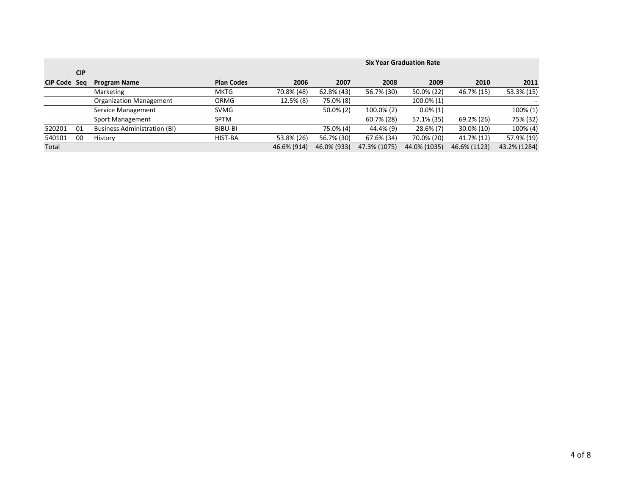|                     |            |                                     |                   | <b>Six Year Graduation Rate</b> |              |              |              |              |                          |  |
|---------------------|------------|-------------------------------------|-------------------|---------------------------------|--------------|--------------|--------------|--------------|--------------------------|--|
|                     | <b>CIP</b> |                                     |                   |                                 |              |              |              |              |                          |  |
| <b>CIP Code Seg</b> |            | <b>Program Name</b>                 | <b>Plan Codes</b> | 2006                            | 2007         | 2008         | 2009         | 2010         | 2011                     |  |
|                     |            | Marketing                           | <b>MKTG</b>       | 70.8% (48)                      | 62.8% (43)   | 56.7% (30)   | 50.0% (22)   | 46.7% (15)   | 53.3% (15)               |  |
|                     |            | Organization Management             | ORMG              | 12.5% (8)                       | 75.0% (8)    |              | 100.0% (1)   |              | $\overline{\phantom{a}}$ |  |
|                     |            | Service Management                  | SVMG              |                                 | $50.0\%$ (2) | 100.0% (2)   | $0.0\%$ (1)  |              | 100% (1)                 |  |
|                     |            | Sport Management                    | <b>SPTM</b>       |                                 |              | 60.7% (28)   | 57.1% (35)   | 69.2% (26)   | 75% (32)                 |  |
| 520201              | 01         | <b>Business Administration (BI)</b> | BIBU-BI           |                                 | 75.0% (4)    | 44.4% (9)    | $28.6\%$ (7) | 30.0% (10)   | 100% (4)                 |  |
| 540101              | 00         | History                             | HIST-BA           | 53.8% (26)                      | 56.7% (30)   | 67.6% (34)   | 70.0% (20)   | 41.7% (12)   | 57.9% (19)               |  |
| Total               |            |                                     |                   | 46.6% (914)                     | 46.0% (933)  | 47.3% (1075) | 44.0% (1035) | 46.6% (1123) | 43.2% (1284)             |  |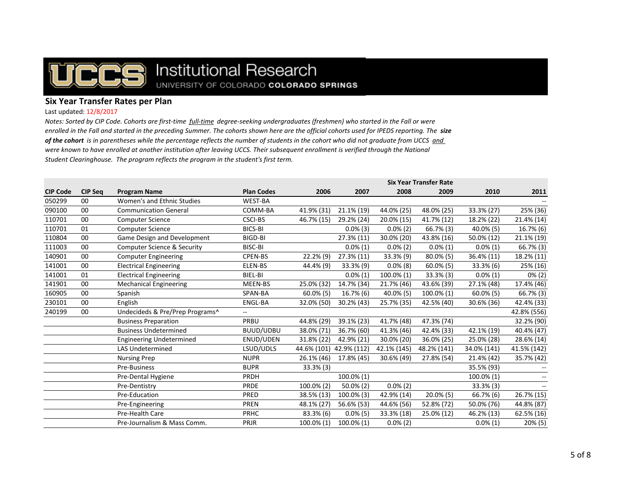

# Institutional Research UNIVERSITY OF COLORADO COLORADO SPRINGS

## **Six Year Transfer Rates per Plan**

#### Last updated: 12/8/2017

*Notes: Sorted by CIP Code. Cohorts are first-time full-time degree-seeking undergraduates (freshmen) who started in the Fall or were enrolled in the Fall and started in the preceding Summer. The cohorts shown here are the official cohorts used for IPEDS reporting. The size of the cohort is in parentheses while the percentage reflects the number of students in the cohort who did not graduate from UCCS and were known to have enrolled at another institution after leaving UCCS. Their subsequent enrollment is verified through the National Student Clearinghouse. The program reflects the program in the student's first term.*

|                 |                |                                        |                   | <b>Six Year Transfer Rate</b> |              |             |              |              |             |
|-----------------|----------------|----------------------------------------|-------------------|-------------------------------|--------------|-------------|--------------|--------------|-------------|
| <b>CIP Code</b> | <b>CIP Seq</b> | <b>Program Name</b>                    | <b>Plan Codes</b> | 2006                          | 2007         | 2008        | 2009         | 2010         | 2011        |
| 050299          | 00             | Women's and Ethnic Studies             | WEST-BA           |                               |              |             |              |              |             |
| 090100          | 00             | <b>Communication General</b>           | COMM-BA           | 41.9% (31)                    | 21.1% (19)   | 44.0% (25)  | 48.0% (25)   | 33.3% (27)   | 25% (36)    |
| 110701          | 00             | <b>Computer Science</b>                | <b>CSCI-BS</b>    | 46.7% (15)                    | 29.2% (24)   | 20.0% (15)  | 41.7% (12)   | 18.2% (22)   | 21.4% (14)  |
| 110701          | 01             | <b>Computer Science</b>                | BICS-BI           |                               | $0.0\%$ (3)  | $0.0\%$ (2) | 66.7% (3)    | 40.0% (5)    | 16.7% (6)   |
| 110804          | 00             | Game Design and Development            | BIGD-BI           |                               | 27.3% (11)   | 30.0% (20)  | 43.8% (16)   | 50.0% (12)   | 21.1% (19)  |
| 111003          | 00             | <b>Computer Science &amp; Security</b> | BISC-BI           |                               | $0.0\%$ (1)  | $0.0\%$ (2) | $0.0\%$ (1)  | $0.0\%(1)$   | 66.7% (3)   |
| 140901          | 00             | <b>Computer Engineering</b>            | <b>CPEN-BS</b>    | 22.2% (9)                     | 27.3% (11)   | 33.3% (9)   | 80.0% (5)    | 36.4% (11)   | 18.2% (11)  |
| 141001          | 00             | <b>Electrical Engineering</b>          | ELEN-BS           | 44.4% (9)                     | 33.3% (9)    | $0.0\%$ (8) | $60.0\%$ (5) | 33.3% (6)    | 25% (16)    |
| 141001          | 01             | <b>Electrical Engineering</b>          | BIEL-BI           |                               | $0.0\%$ (1)  | 100.0% (1)  | $33.3\%$ (3) | $0.0\%$ (1)  | $0\%$ (2)   |
| 141901          | 00             | <b>Mechanical Engineering</b>          | MEEN-BS           | 25.0% (32)                    | 14.7% (34)   | 21.7% (46)  | 43.6% (39)   | 27.1% (48)   | 17.4% (46)  |
| 160905          | 00             | Spanish                                | SPAN-BA           | 60.0% (5)                     | 16.7% (6)    | 40.0% (5)   | 100.0% (1)   | $60.0\%$ (5) | 66.7% (3)   |
| 230101          | 00             | English                                | ENGL-BA           | 32.0% (50)                    | 30.2% (43)   | 25.7% (35)  | 42.5% (40)   | 30.6% (36)   | 42.4% (33)  |
| 240199          | 00             | Undecideds & Pre/Prep Programs^        |                   |                               |              |             |              |              | 42.8% (556) |
|                 |                | <b>Business Preparation</b>            | PRBU              | 44.8% (29)                    | 39.1% (23)   | 41.7% (48)  | 47.3% (74)   |              | 32.2% (90)  |
|                 |                | <b>Business Undetermined</b>           | BUUD/UDBU         | 38.0% (71)                    | 36.7% (60)   | 41.3% (46)  | 42.4% (33)   | 42.1% (19)   | 40.4% (47)  |
|                 |                | <b>Engineering Undetermined</b>        | <b>ENUD/UDEN</b>  | 31.8% (22)                    | 42.9% (21)   | 30.0% (20)  | 36.0% (25)   | 25.0% (28)   | 28.6% (14)  |
|                 |                | <b>LAS Undetermined</b>                | LSUD/UDLS         | 44.6% (101) 42.9% (112)       |              | 42.1% (145) | 48.2% (141)  | 34.0% (141)  | 41.5% (142) |
|                 |                | <b>Nursing Prep</b>                    | <b>NUPR</b>       | 26.1% (46)                    | 17.8% (45)   | 30.6% (49)  | 27.8% (54)   | 21.4% (42)   | 35.7% (42)  |
|                 |                | Pre-Business                           | <b>BUPR</b>       | $33.3\%$ (3)                  |              |             |              | 35.5% (93)   |             |
|                 |                | Pre-Dental Hygiene                     | PRDH              |                               | 100.0% (1)   |             |              | 100.0% (1)   |             |
|                 |                | Pre-Dentistry                          | PRDE              | 100.0% (2)                    | $50.0\%$ (2) | $0.0\%$ (2) |              | $33.3\%$ (3) |             |
|                 |                | Pre-Education                          | PRED              | 38.5% (13)                    | 100.0% (3)   | 42.9% (14)  | $20.0\%$ (5) | 66.7% (6)    | 26.7% (15)  |
|                 |                | Pre-Engineering                        | <b>PREN</b>       | 48.1% (27)                    | 56.6% (53)   | 44.6% (56)  | 52.8% (72)   | 50.0% (76)   | 44.8% (87)  |
|                 |                | Pre-Health Care                        | PRHC              | 83.3% (6)                     | $0.0\%$ (5)  | 33.3% (18)  | 25.0% (12)   | 46.2% (13)   | 62.5% (16)  |
|                 |                | Pre-Journalism & Mass Comm.            | PRJR              | 100.0% (1)                    | 100.0% (1)   | $0.0\% (2)$ |              | $0.0\%$ (1)  | 20% (5)     |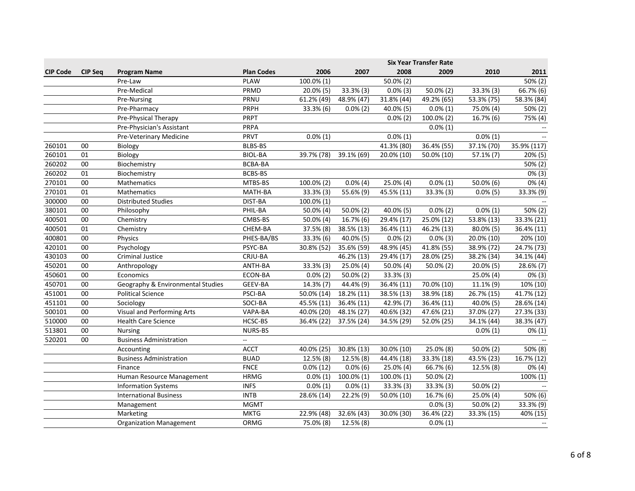|                 |                |                                   |                           | <b>Six Year Transfer Rate</b> |             |               |             |              |             |
|-----------------|----------------|-----------------------------------|---------------------------|-------------------------------|-------------|---------------|-------------|--------------|-------------|
| <b>CIP Code</b> | <b>CIP Seg</b> | <b>Program Name</b>               | <b>Plan Codes</b>         | 2006                          | 2007        | 2008          | 2009        | 2010         | 2011        |
|                 |                | Pre-Law                           | <b>PLAW</b>               | 100.0% (1)                    |             | 50.0% (2)     |             |              | $50\% (2)$  |
|                 |                | Pre-Medical                       | PRMD                      | 20.0% (5)                     | 33.3% (3)   | $0.0\%$ (3)   | 50.0% (2)   | 33.3% (3)    | 66.7% (6)   |
|                 |                | Pre-Nursing                       | PRNU                      | 61.2% (49)                    | 48.9% (47)  | 31.8% (44)    | 49.2% (65)  | 53.3% (75)   | 58.3% (84)  |
|                 |                | Pre-Pharmacy                      | PRPH                      | 33.3% (6)                     | $0.0\%$ (2) | 40.0% (5)     | $0.0\%$ (1) | 75.0% (4)    | 50% (2)     |
|                 |                | Pre-Physical Therapy              | PRPT                      |                               |             | $0.0\%$ (2)   | 100.0% (2)  | 16.7% (6)    | 75% (4)     |
|                 |                | Pre-Physician's Assistant         | PRPA                      |                               |             |               | $0.0\%(1)$  |              |             |
|                 |                | Pre-Veterinary Medicine           | PRVT                      | $0.0\%(1)$                    |             | $0.0\%$ (1)   |             | $0.0\%$ (1)  |             |
| 260101          | 00             | Biology                           | <b>BLBS-BS</b>            |                               |             | 41.3% (80)    | 36.4% (55)  | 37.1% (70)   | 35.9% (117) |
| 260101          | 01             | Biology                           | <b>BIOL-BA</b>            | 39.7% (78)                    | 39.1% (69)  | 20.0% (10)    | 50.0% (10)  | 57.1% (7)    | 20% (5)     |
| 260202          | 00             | Biochemistry                      | BCBA-BA                   |                               |             |               |             |              | 50% (2)     |
| 260202          | 01             | Biochemistry                      | <b>BCBS-BS</b>            |                               |             |               |             |              | $0\%$ (3)   |
| 270101          | 00             | Mathematics                       | MTBS-BS                   | 100.0% (2)                    | $0.0\%$ (4) | 25.0% (4)     | $0.0\%$ (1) | 50.0% (6)    | $0\%$ (4)   |
| 270101          | 01             | Mathematics                       | MATH-BA                   | 33.3% (3)                     | 55.6% (9)   | 45.5% (11)    | 33.3% (3)   | $0.0\%$ (5)  | 33.3% (9)   |
| 300000          | 00             | <b>Distributed Studies</b>        | DIST-BA                   | 100.0% (1)                    |             |               |             |              |             |
| 380101          | 00             | Philosophy                        | PHIL-BA                   | 50.0% (4)                     | 50.0% (2)   | 40.0% (5)     | $0.0\%$ (2) | $0.0\%$ (1)  | 50% (2)     |
| 400501          | 00             | Chemistry                         | CMBS-BS                   | 50.0% (4)                     | 16.7% (6)   | 29.4% (17)    | 25.0% (12)  | 53.8% (13)   | 33.3% (21)  |
| 400501          | 01             | Chemistry                         | CHEM-BA                   | 37.5% (8)                     | 38.5% (13)  | 36.4% (11)    | 46.2% (13)  | $80.0\%$ (5) | 36.4% (11)  |
| 400801          | 00             | Physics                           | PHES-BA/BS                | 33.3% (6)                     | 40.0% (5)   | $0.0\%$ (2)   | $0.0\%$ (3) | 20.0% (10)   | 20% (10)    |
| 420101          | 00             | Psychology                        | PSYC-BA                   | 30.8% (52)                    | 35.6% (59)  | 48.9% (45)    | 41.8% (55)  | 38.9% (72)   | 24.7% (73)  |
| 430103          | 00             | <b>Criminal Justice</b>           | CRJU-BA                   |                               | 46.2% (13)  | 29.4% (17)    | 28.0% (25)  | 38.2% (34)   | 34.1% (44)  |
| 450201          | 00             | Anthropology                      | ANTH-BA                   | 33.3% (3)                     | 25.0% (4)   | 50.0% (4)     | 50.0% (2)   | 20.0% (5)    | 28.6% (7)   |
| 450601          | 00             | Economics                         | ECON-BA                   | $0.0\%$ (2)                   | 50.0% (2)   | 33.3% (3)     |             | 25.0% (4)    | $0\% (3)$   |
| 450701          | 00             | Geography & Environmental Studies | GEEV-BA                   | 14.3% (7)                     | 44.4% (9)   | 36.4% (11)    | 70.0% (10)  | 11.1% (9)    | 10% (10)    |
| 451001          | 00             | <b>Political Science</b>          | PSCI-BA                   | 50.0% (14)                    | 18.2% (11)  | 38.5% (13)    | 38.9% (18)  | 26.7% (15)   | 41.7% (12)  |
| 451101          | 00             | Sociology                         | SOCI-BA                   | 45.5% (11)                    | 36.4% (11)  | 42.9% (7)     | 36.4% (11)  | 40.0% (5)    | 28.6% (14)  |
| 500101          | 00             | <b>Visual and Performing Arts</b> | VAPA-BA                   | 40.0% (20)                    | 48.1% (27)  | 40.6% (32)    | 47.6% (21)  | 37.0% (27)   | 27.3% (33)  |
| 510000          | 00             | <b>Health Care Science</b>        | HCSC-BS                   | 36.4% (22)                    | 37.5% (24)  | 34.5% (29)    | 52.0% (25)  | 34.1% (44)   | 38.3% (47)  |
| 513801          | 00             | <b>Nursing</b>                    | NURS-BS                   |                               |             |               |             | $0.0\%$ (1)  | $0\% (1)$   |
| 520201          | 00             | <b>Business Administration</b>    | $\mathbb{L}^{\mathbb{L}}$ |                               |             |               |             |              |             |
|                 |                | Accounting                        | <b>ACCT</b>               | 40.0% (25)                    | 30.8% (13)  | $30.0\%$ (10) | 25.0% (8)   | 50.0% (2)    | 50% (8)     |
|                 |                | <b>Business Administration</b>    | <b>BUAD</b>               | 12.5% (8)                     | 12.5% (8)   | 44.4% (18)    | 33.3% (18)  | 43.5% (23)   | 16.7% (12)  |
|                 |                | Finance                           | <b>FNCE</b>               | $0.0\%$ (12)                  | $0.0\%$ (6) | 25.0% (4)     | 66.7% (6)   | 12.5% (8)    | $0\%$ (4)   |
|                 |                | Human Resource Management         | <b>HRMG</b>               | $0.0\%$ (1)                   | 100.0% (1)  | 100.0% (1)    | 50.0% (2)   |              | 100% (1)    |
|                 |                | <b>Information Systems</b>        | <b>INFS</b>               | $0.0\%$ (1)                   | $0.0\%$ (1) | 33.3% (3)     | 33.3% (3)   | 50.0% (2)    |             |
|                 |                | <b>International Business</b>     | <b>INTB</b>               | 28.6% (14)                    | 22.2% (9)   | 50.0% (10)    | 16.7% (6)   | 25.0% (4)    | 50% (6)     |
|                 |                | Management                        | <b>MGMT</b>               |                               |             |               | $0.0\%$ (3) | 50.0% (2)    | 33.3% (9)   |
|                 |                | Marketing                         | <b>MKTG</b>               | 22.9% (48)                    | 32.6% (43)  | 30.0% (30)    | 36.4% (22)  | 33.3% (15)   | 40% (15)    |
|                 |                | <b>Organization Management</b>    | ORMG                      | 75.0% (8)                     | 12.5% (8)   |               | $0.0\%(1)$  |              |             |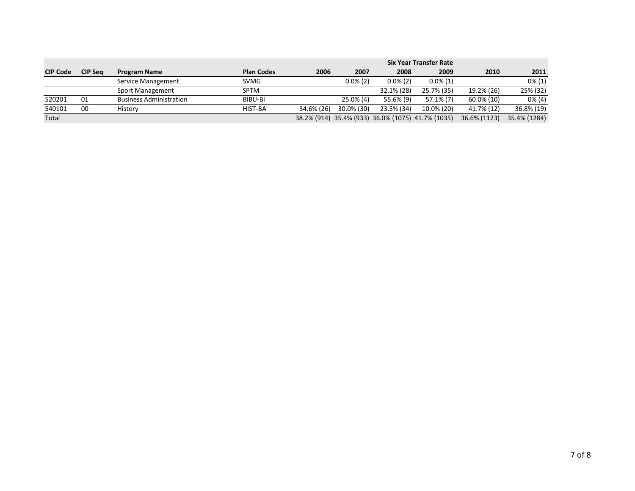|                 |                |                                |                   | <b>Six Year Transfer Rate</b> |             |             |                                                   |              |              |
|-----------------|----------------|--------------------------------|-------------------|-------------------------------|-------------|-------------|---------------------------------------------------|--------------|--------------|
| <b>CIP Code</b> | <b>CIP Sea</b> | <b>Program Name</b>            | <b>Plan Codes</b> | 2006                          | 2007        | 2008        | 2009                                              | 2010         | 2011         |
|                 |                | Service Management             | <b>SVMG</b>       |                               | $0.0\%$ (2) | $0.0\%$ (2) | $0.0\%$ (1)                                       |              | $0\%$ (1)    |
|                 |                | Sport Management               | <b>SPTM</b>       |                               |             | 32.1% (28)  | 25.7% (35)                                        | 19.2% (26)   | 25% (32)     |
| 520201          | 01             | <b>Business Administration</b> | BIBU-BI           |                               | 25.0% (4)   | 55.6% (9)   | $57.1\%$ (7)                                      | 60.0% (10)   | $0\%$ (4)    |
| 540101          | 00             | History                        | HIST-BA           | 34.6% (26)                    | 30.0% (30)  | 23.5% (34)  | 10.0% (20)                                        | 41.7% (12)   | 36.8% (19)   |
| Total           |                |                                |                   |                               |             |             | 38.2% (914) 35.4% (933) 36.0% (1075) 41.7% (1035) | 36.6% (1123) | 35.4% (1284) |